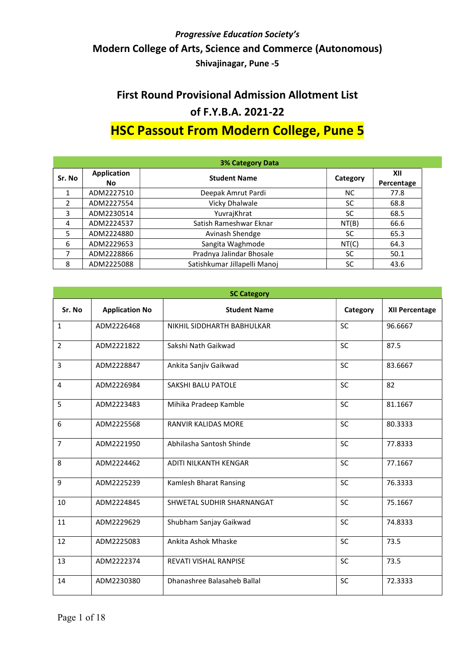# First Round Provisional Admission Allotment List of F.Y.B.A. 2021-22

# HSC Passout From Modern College, Pune 5

| <b>3% Category Data</b> |                           |                              |          |                   |  |
|-------------------------|---------------------------|------------------------------|----------|-------------------|--|
| Sr. No                  | <b>Application</b><br>No. | <b>Student Name</b>          | Category | XII<br>Percentage |  |
|                         | ADM2227510                | Deepak Amrut Pardi           | NC.      | 77.8              |  |
| 2                       | ADM2227554                | Vicky Dhalwale               | SC       | 68.8              |  |
| 3                       | ADM2230514                | YuvrajKhrat                  | SC       | 68.5              |  |
| 4                       | ADM2224537                | Satish Rameshwar Eknar       | NT(B)    | 66.6              |  |
| 5                       | ADM2224880                | Avinash Shendge              | SC       | 65.3              |  |
| 6                       | ADM2229653                | Sangita Waghmode             | NT(C)    | 64.3              |  |
|                         | ADM2228866                | Pradnya Jalindar Bhosale     | SC       | 50.1              |  |
| 8                       | ADM2225088                | Satishkumar Jillapelli Manoj | SC       | 43.6              |  |

| <b>SC Category</b> |                       |                              |           |                |  |
|--------------------|-----------------------|------------------------------|-----------|----------------|--|
| Sr. No             | <b>Application No</b> | <b>Student Name</b>          | Category  | XII Percentage |  |
| $\mathbf{1}$       | ADM2226468            | NIKHIL SIDDHARTH BABHULKAR   | <b>SC</b> | 96.6667        |  |
| $\overline{2}$     | ADM2221822            | Sakshi Nath Gaikwad          | <b>SC</b> | 87.5           |  |
| 3                  | ADM2228847            | Ankita Sanjiv Gaikwad        | <b>SC</b> | 83.6667        |  |
| 4                  | ADM2226984            | SAKSHI BALU PATOLE           | SC        | 82             |  |
| 5                  | ADM2223483            | Mihika Pradeep Kamble        | <b>SC</b> | 81.1667        |  |
| 6                  | ADM2225568            | <b>RANVIR KALIDAS MORE</b>   | <b>SC</b> | 80.3333        |  |
| $\overline{7}$     | ADM2221950            | Abhilasha Santosh Shinde     | SC        | 77.8333        |  |
| 8                  | ADM2224462            | ADITI NILKANTH KENGAR        | <b>SC</b> | 77.1667        |  |
| 9                  | ADM2225239            | Kamlesh Bharat Ransing       | SC        | 76.3333        |  |
| 10                 | ADM2224845            | SHWETAL SUDHIR SHARNANGAT    | SC        | 75.1667        |  |
| 11                 | ADM2229629            | Shubham Sanjay Gaikwad       | SC        | 74.8333        |  |
| 12                 | ADM2225083            | Ankita Ashok Mhaske          | SC        | 73.5           |  |
| 13                 | ADM2222374            | <b>REVATI VISHAL RANPISE</b> | <b>SC</b> | 73.5           |  |
| 14                 | ADM2230380            | Dhanashree Balasaheb Ballal  | <b>SC</b> | 72.3333        |  |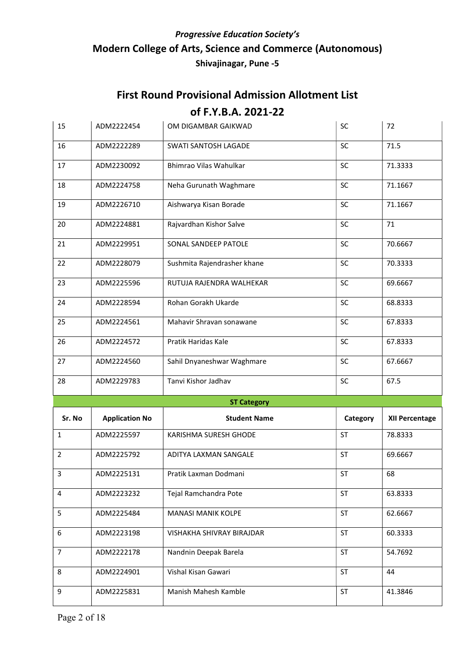| 15             | ADM2222454            | OM DIGAMBAR GAIKWAD         | SC                   | 72                    |
|----------------|-----------------------|-----------------------------|----------------------|-----------------------|
|                |                       |                             |                      |                       |
| 16             | ADM2222289            | SWATI SANTOSH LAGADE        | SC                   | 71.5                  |
| 17             | ADM2230092            | Bhimrao Vilas Wahulkar      | SC                   | 71.3333               |
| 18             | ADM2224758            | Neha Gurunath Waghmare      | SC                   | 71.1667               |
| 19             | ADM2226710            | Aishwarya Kisan Borade      | SC                   | 71.1667               |
| 20             | ADM2224881            | Rajvardhan Kishor Salve     | SC                   | 71                    |
| 21             | ADM2229951            | SONAL SANDEEP PATOLE        | SC                   | 70.6667               |
| 22             | ADM2228079            | Sushmita Rajendrasher khane | SC                   | 70.3333               |
| 23             | ADM2225596            | RUTUJA RAJENDRA WALHEKAR    | SC                   | 69.6667               |
| 24             | ADM2228594            | Rohan Gorakh Ukarde         | SC                   | 68.8333               |
| 25             | ADM2224561            | Mahavir Shravan sonawane    | <b>SC</b>            | 67.8333               |
| 26             | ADM2224572            | Pratik Haridas Kale         | <b>SC</b>            | 67.8333               |
| 27             | ADM2224560            | Sahil Dnyaneshwar Waghmare  | SC                   | 67.6667               |
| 28             | ADM2229783            | Tanvi Kishor Jadhav         | SC                   | 67.5                  |
|                |                       | <b>ST Category</b>          |                      |                       |
| Sr. No         | <b>Application No</b> | <b>Student Name</b>         | Category             | <b>XII Percentage</b> |
| $\mathbf{1}$   |                       |                             |                      |                       |
|                | ADM2225597            | KARISHMA SURESH GHODE       | <b>ST</b>            | 78.8333               |
| 2              | ADM2225792            | ADITYA LAXMAN SANGALE       | <b>ST</b>            | 69.6667               |
| $\mathbf{3}$   | ADM2225131            | Pratik Laxman Dodmani       | $\mathsf{ST}\xspace$ | 68                    |
| $\overline{4}$ | ADM2223232            | Tejal Ramchandra Pote       | <b>ST</b>            | 63.8333               |
| 5              | ADM2225484            | MANASI MANIK KOLPE          | ST                   | 62.6667               |
| 6              | ADM2223198            | VISHAKHA SHIVRAY BIRAJDAR   | <b>ST</b>            | 60.3333               |
| $\overline{7}$ | ADM2222178            | Nandnin Deepak Barela       | <b>ST</b>            | 54.7692               |
| 8              | ADM2224901            | Vishal Kisan Gawari         | <b>ST</b>            | 44                    |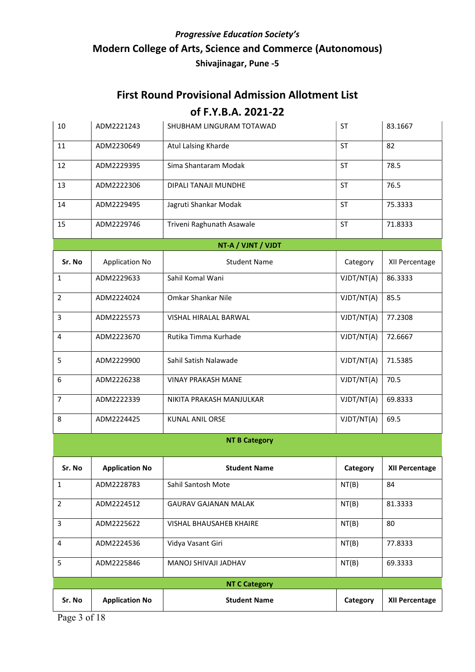#### First Round Provisional Admission Allotment List

| 10<br>ADM2221243                                            | SHUBHAM LINGURAM TOTAWAD | ST         | 83.1667               |  |
|-------------------------------------------------------------|--------------------------|------------|-----------------------|--|
| Atul Lalsing Kharde<br>11<br>ADM2230649                     |                          | <b>ST</b>  | 82                    |  |
| Sima Shantaram Modak<br>12<br>ADM2229395                    |                          | <b>ST</b>  | 78.5                  |  |
| 13<br>ADM2222306<br>DIPALI TANAJI MUNDHE                    |                          | <b>ST</b>  | 76.5                  |  |
| Jagruti Shankar Modak<br>14<br>ADM2229495                   |                          | <b>ST</b>  | 75.3333               |  |
| 15<br>Triveni Raghunath Asawale<br>ADM2229746               |                          | <b>ST</b>  | 71.8333               |  |
|                                                             | NT-A / VJNT / VJDT       |            |                       |  |
| Sr. No<br><b>Application No</b>                             | <b>Student Name</b>      | Category   | XII Percentage        |  |
| Sahil Komal Wani<br>$\mathbf{1}$<br>ADM2229633              |                          | VJDT/NT(A) | 86.3333               |  |
| $\overline{2}$<br>Omkar Shankar Nile<br>ADM2224024          |                          | VJDT/NT(A) | 85.5                  |  |
| 3<br>ADM2225573<br>VISHAL HIRALAL BARWAL                    |                          | VJDT/NT(A) | 77.2308               |  |
| Rutika Timma Kurhade<br>4<br>ADM2223670                     |                          | VJDT/NT(A) | 72.6667               |  |
| 5<br>ADM2229900<br>Sahil Satish Nalawade                    |                          | VJDT/NT(A) | 71.5385               |  |
| 6<br>ADM2226238<br><b>VINAY PRAKASH MANE</b>                |                          | VJDT/NT(A) | 70.5                  |  |
| $\overline{7}$<br>ADM2222339                                | NIKITA PRAKASH MANJULKAR | VJDT/NT(A) | 69.8333               |  |
| ADM2224425<br><b>KUNAL ANIL ORSE</b><br>8                   |                          | VJDT/NT(A) | 69.5                  |  |
|                                                             | <b>NT B Category</b>     |            |                       |  |
| Sr. No<br><b>Application No</b>                             | <b>Student Name</b>      | Category   | <b>XII Percentage</b> |  |
| $\mathbf{1}$<br>Sahil Santosh Mote<br>ADM2228783            |                          | NT(B)      | 84                    |  |
| $\overline{2}$<br>ADM2224512<br><b>GAURAV GAJANAN MALAK</b> |                          | NT(B)      | 81.3333               |  |
| 3<br>ADM2225622<br><b>VISHAL BHAUSAHEB KHAIRE</b>           |                          | NT(B)      | 80                    |  |
| Vidya Vasant Giri<br>4<br>ADM2224536                        |                          | NT(B)      | 77.8333               |  |
| 5<br>ADM2225846<br>MANOJ SHIVAJI JADHAV                     |                          | NT(B)      | 69.3333               |  |
|                                                             |                          |            |                       |  |
|                                                             | <b>NT C Category</b>     |            |                       |  |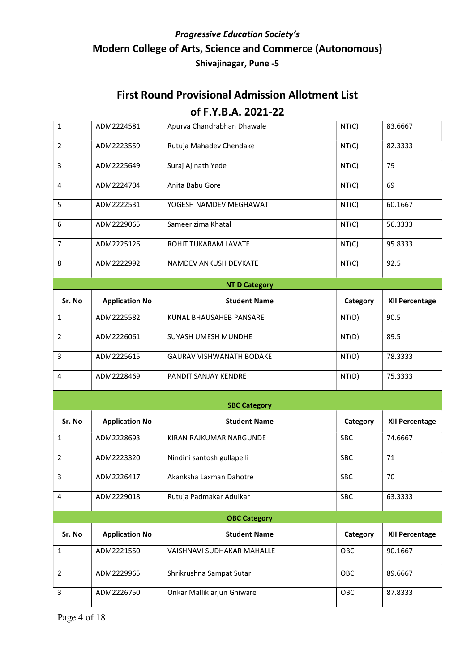## First Round Provisional Admission Allotment List

| $\mathbf{1}$   | ADM2224581            | Apurva Chandrabhan Dhawale      | NT(C)      | 83.6667               |
|----------------|-----------------------|---------------------------------|------------|-----------------------|
| $\overline{2}$ | ADM2223559            | Rutuja Mahadev Chendake         | NT(C)      | 82.3333               |
| 3              | ADM2225649            | Suraj Ajinath Yede              | NT(C)      | 79                    |
| 4              | ADM2224704            | Anita Babu Gore                 | NT(C)      | 69                    |
| 5              | ADM2222531            | YOGESH NAMDEV MEGHAWAT          | NT(C)      | 60.1667               |
| 6              | ADM2229065            | Sameer zima Khatal              | NT(C)      | 56.3333               |
| $\overline{7}$ | ADM2225126            | ROHIT TUKARAM LAVATE            | NT(C)      | 95.8333               |
| 8              | ADM2222992            | NAMDEV ANKUSH DEVKATE           | NT(C)      | 92.5                  |
|                |                       | <b>NT D Category</b>            |            |                       |
| Sr. No         | <b>Application No</b> | <b>Student Name</b>             | Category   | <b>XII Percentage</b> |
| $\mathbf{1}$   | ADM2225582            | KUNAL BHAUSAHEB PANSARE         | NT(D)      | 90.5                  |
| $\overline{2}$ | ADM2226061            | SUYASH UMESH MUNDHE             | NT(D)      | 89.5                  |
| 3              | ADM2225615            | <b>GAURAV VISHWANATH BODAKE</b> | NT(D)      | 78.3333               |
| 4              | ADM2228469            | PANDIT SANJAY KENDRE            | NT(D)      | 75.3333               |
|                |                       | <b>SBC Category</b>             |            |                       |
| Sr. No         | <b>Application No</b> | <b>Student Name</b>             | Category   | <b>XII Percentage</b> |
| $\mathbf{1}$   | ADM2228693            | KIRAN RAJKUMAR NARGUNDE         | <b>SBC</b> | 74.6667               |
| $\overline{2}$ | ADM2223320            | Nindini santosh gullapelli      | <b>SBC</b> | 71                    |
| 3              | ADM2226417            | Akanksha Laxman Dahotre         | SBC        | 70                    |
| 4              | ADM2229018            | Rutuja Padmakar Adulkar         | <b>SBC</b> | 63.3333               |
|                |                       | <b>OBC Category</b>             |            |                       |
| Sr. No         | <b>Application No</b> | <b>Student Name</b>             | Category   | <b>XII Percentage</b> |
| $\mathbf{1}$   | ADM2221550            | VAISHNAVI SUDHAKAR MAHALLE      | OBC        | 90.1667               |
| $\overline{2}$ | ADM2229965            | Shrikrushna Sampat Sutar        | OBC        | 89.6667               |
| 3              | ADM2226750            | Onkar Mallik arjun Ghiware      | OBC        | 87.8333               |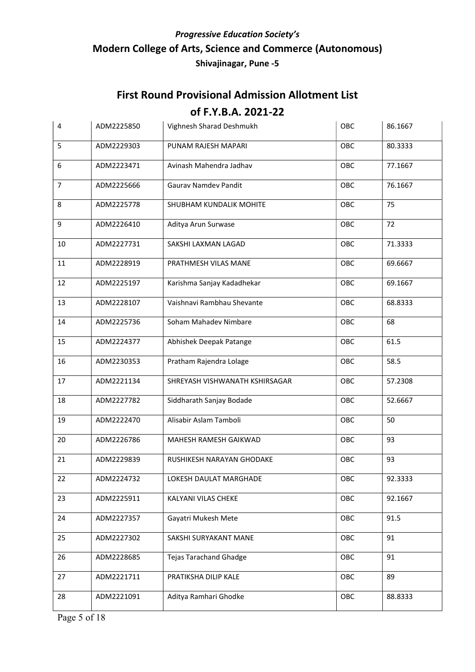| 4              | ADM2225850 | Vighnesh Sharad Deshmukh       | OBC | 86.1667 |
|----------------|------------|--------------------------------|-----|---------|
| 5              | ADM2229303 | PUNAM RAJESH MAPARI            | OBC | 80.3333 |
| 6              | ADM2223471 | Avinash Mahendra Jadhav        | OBC | 77.1667 |
| $\overline{7}$ | ADM2225666 | Gaurav Namdev Pandit           | OBC | 76.1667 |
| 8              | ADM2225778 | SHUBHAM KUNDALIK MOHITE        | OBC | 75      |
| 9              | ADM2226410 | Aditya Arun Surwase            | OBC | 72      |
| 10             | ADM2227731 | SAKSHI LAXMAN LAGAD            | OBC | 71.3333 |
| 11             | ADM2228919 | PRATHMESH VILAS MANE           | OBC | 69.6667 |
| 12             | ADM2225197 | Karishma Sanjay Kadadhekar     | OBC | 69.1667 |
| 13             | ADM2228107 | Vaishnavi Rambhau Shevante     | OBC | 68.8333 |
| 14             | ADM2225736 | Soham Mahadev Nimbare          | OBC | 68      |
| 15             | ADM2224377 | Abhishek Deepak Patange        | OBC | 61.5    |
| 16             | ADM2230353 | Pratham Rajendra Lolage        | OBC | 58.5    |
| 17             | ADM2221134 | SHREYASH VISHWANATH KSHIRSAGAR | OBC | 57.2308 |
| 18             | ADM2227782 | Siddharath Sanjay Bodade       | OBC | 52.6667 |
| 19             | ADM2222470 | Alisabir Aslam Tamboli         | OBC | 50      |
| 20             | ADM2226786 | MAHESH RAMESH GAIKWAD          | OBC | 93      |
| 21             | ADM2229839 | RUSHIKESH NARAYAN GHODAKE      | OBC | 93      |
| 22             | ADM2224732 | LOKESH DAULAT MARGHADE         | OBC | 92.3333 |
| 23             | ADM2225911 | KALYANI VILAS CHEKE            | OBC | 92.1667 |
| 24             | ADM2227357 | Gayatri Mukesh Mete            | OBC | 91.5    |
| 25             | ADM2227302 | SAKSHI SURYAKANT MANE          | OBC | 91      |
| 26             | ADM2228685 | <b>Tejas Tarachand Ghadge</b>  | OBC | 91      |
| 27             | ADM2221711 | PRATIKSHA DILIP KALE           | OBC | 89      |
| 28             | ADM2221091 | Aditya Ramhari Ghodke          | OBC | 88.8333 |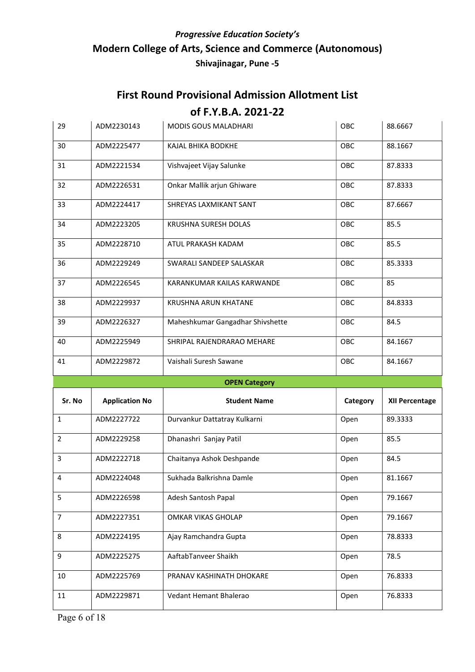| 29             | ADM2230143            | MODIS GOUS MALADHARI             | OBC        | 88.6667        |
|----------------|-----------------------|----------------------------------|------------|----------------|
| 30             | ADM2225477            | KAJAL BHIKA BODKHE               | OBC        | 88.1667        |
| 31             | ADM2221534            | Vishvajeet Vijay Salunke         | OBC        | 87.8333        |
| 32             | ADM2226531            | Onkar Mallik arjun Ghiware       | OBC        | 87.8333        |
| 33             | ADM2224417            | SHREYAS LAXMIKANT SANT           | OBC        | 87.6667        |
| 34             | ADM2223205            | KRUSHNA SURESH DOLAS             | OBC        | 85.5           |
| 35             | ADM2228710            | ATUL PRAKASH KADAM               | <b>OBC</b> | 85.5           |
| 36             | ADM2229249            | SWARALI SANDEEP SALASKAR         | OBC        | 85.3333        |
| 37             | ADM2226545            | KARANKUMAR KAILAS KARWANDE       | <b>OBC</b> | 85             |
| 38             | ADM2229937            | KRUSHNA ARUN KHATANE             | <b>OBC</b> | 84.8333        |
| 39             | ADM2226327            | Maheshkumar Gangadhar Shivshette | OBC        | 84.5           |
| 40             | ADM2225949            | SHRIPAL RAJENDRARAO MEHARE       | OBC        | 84.1667        |
| 41             | ADM2229872            | Vaishali Suresh Sawane           | OBC        | 84.1667        |
|                |                       |                                  |            |                |
|                |                       | <b>OPEN Category</b>             |            |                |
| Sr. No         | <b>Application No</b> | <b>Student Name</b>              | Category   | XII Percentage |
| $\mathbf{1}$   | ADM2227722            | Durvankur Dattatray Kulkarni     | Open       | 89.3333        |
| $\overline{2}$ | ADM2229258            | Dhanashri Sanjay Patil           | Open       | 85.5           |
| 3              | ADM2222718            | Chaitanya Ashok Deshpande        | Open       | 84.5           |
| 4              | ADM2224048            | Sukhada Balkrishna Damle         | Open       | 81.1667        |
| 5              | ADM2226598            | Adesh Santosh Papal              | Open       | 79.1667        |
| 7              | ADM2227351            | OMKAR VIKAS GHOLAP               | Open       | 79.1667        |
| 8              | ADM2224195            | Ajay Ramchandra Gupta            | Open       | 78.8333        |
| 9              | ADM2225275            | AaftabTanveer Shaikh             | Open       | 78.5           |
| 10             | ADM2225769            | PRANAV KASHINATH DHOKARE         | Open       | 76.8333        |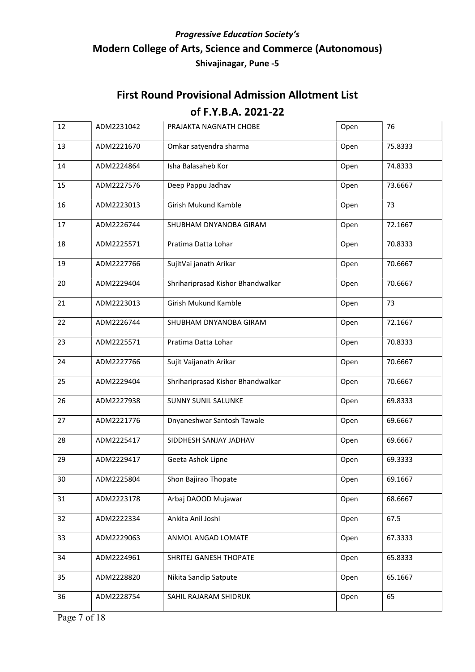# First Round Provisional Admission Allotment List

| 12 | ADM2231042 | PRAJAKTA NAGNATH CHOBE            | Open | 76      |
|----|------------|-----------------------------------|------|---------|
| 13 | ADM2221670 | Omkar satyendra sharma            | Open | 75.8333 |
| 14 | ADM2224864 | Isha Balasaheb Kor                | Open | 74.8333 |
| 15 | ADM2227576 | Deep Pappu Jadhav                 | Open | 73.6667 |
| 16 | ADM2223013 | Girish Mukund Kamble              | Open | 73      |
| 17 | ADM2226744 | SHUBHAM DNYANOBA GIRAM            | Open | 72.1667 |
| 18 | ADM2225571 | Pratima Datta Lohar               | Open | 70.8333 |
| 19 | ADM2227766 | SujitVai janath Arikar            | Open | 70.6667 |
| 20 | ADM2229404 | Shrihariprasad Kishor Bhandwalkar | Open | 70.6667 |
| 21 | ADM2223013 | Girish Mukund Kamble              | Open | 73      |
| 22 | ADM2226744 | SHUBHAM DNYANOBA GIRAM            | Open | 72.1667 |
| 23 | ADM2225571 | Pratima Datta Lohar               | Open | 70.8333 |
| 24 | ADM2227766 | Sujit Vaijanath Arikar            | Open | 70.6667 |
| 25 | ADM2229404 | Shrihariprasad Kishor Bhandwalkar | Open | 70.6667 |
| 26 | ADM2227938 | <b>SUNNY SUNIL SALUNKE</b>        | Open | 69.8333 |
| 27 | ADM2221776 | Dnyaneshwar Santosh Tawale        | Open | 69.6667 |
| 28 | ADM2225417 | SIDDHESH SANJAY JADHAV            | Open | 69.6667 |
| 29 | ADM2229417 | Geeta Ashok Lipne                 | Open | 69.3333 |
| 30 | ADM2225804 | Shon Bajirao Thopate              | Open | 69.1667 |
| 31 | ADM2223178 | Arbaj DAOOD Mujawar               | Open | 68.6667 |
| 32 | ADM2222334 | Ankita Anil Joshi                 | Open | 67.5    |
| 33 | ADM2229063 | ANMOL ANGAD LOMATE                | Open | 67.3333 |
| 34 | ADM2224961 | SHRITEJ GANESH THOPATE            | Open | 65.8333 |
| 35 | ADM2228820 | Nikita Sandip Satpute             | Open | 65.1667 |
| 36 | ADM2228754 | SAHIL RAJARAM SHIDRUK             | Open | 65      |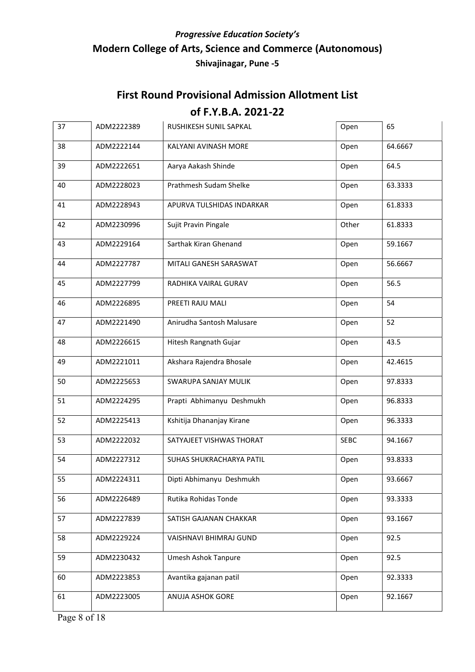# First Round Provisional Admission Allotment List

| 37 | ADM2222389 | RUSHIKESH SUNIL SAPKAL     | Open        | 65      |
|----|------------|----------------------------|-------------|---------|
| 38 | ADM2222144 | KALYANI AVINASH MORE       | Open        | 64.6667 |
| 39 | ADM2222651 | Aarya Aakash Shinde        | Open        | 64.5    |
| 40 | ADM2228023 | Prathmesh Sudam Shelke     | Open        | 63.3333 |
| 41 | ADM2228943 | APURVA TULSHIDAS INDARKAR  | Open        | 61.8333 |
| 42 | ADM2230996 | Sujit Pravin Pingale       | Other       | 61.8333 |
| 43 | ADM2229164 | Sarthak Kiran Ghenand      | Open        | 59.1667 |
| 44 | ADM2227787 | MITALI GANESH SARASWAT     | Open        | 56.6667 |
| 45 | ADM2227799 | RADHIKA VAIRAL GURAV       | Open        | 56.5    |
| 46 | ADM2226895 | PREETI RAJU MALI           | Open        | 54      |
| 47 | ADM2221490 | Anirudha Santosh Malusare  | Open        | 52      |
| 48 | ADM2226615 | Hitesh Rangnath Gujar      | Open        | 43.5    |
| 49 | ADM2221011 | Akshara Rajendra Bhosale   | Open        | 42.4615 |
| 50 | ADM2225653 | SWARUPA SANJAY MULIK       | Open        | 97.8333 |
| 51 | ADM2224295 | Prapti Abhimanyu Deshmukh  | Open        | 96.8333 |
| 52 | ADM2225413 | Kshitija Dhananjay Kirane  | Open        | 96.3333 |
| 53 | ADM2222032 | SATYAJEET VISHWAS THORAT   | <b>SEBC</b> | 94.1667 |
| 54 | ADM2227312 | SUHAS SHUKRACHARYA PATIL   | Open        | 93.8333 |
| 55 | ADM2224311 | Dipti Abhimanyu Deshmukh   | Open        | 93.6667 |
| 56 | ADM2226489 | Rutika Rohidas Tonde       | Open        | 93.3333 |
| 57 | ADM2227839 | SATISH GAJANAN CHAKKAR     | Open        | 93.1667 |
| 58 | ADM2229224 | VAISHNAVI BHIMRAJ GUND     | Open        | 92.5    |
| 59 | ADM2230432 | <b>Umesh Ashok Tanpure</b> | Open        | 92.5    |
| 60 | ADM2223853 | Avantika gajanan patil     | Open        | 92.3333 |
| 61 | ADM2223005 | ANUJA ASHOK GORE           | Open        | 92.1667 |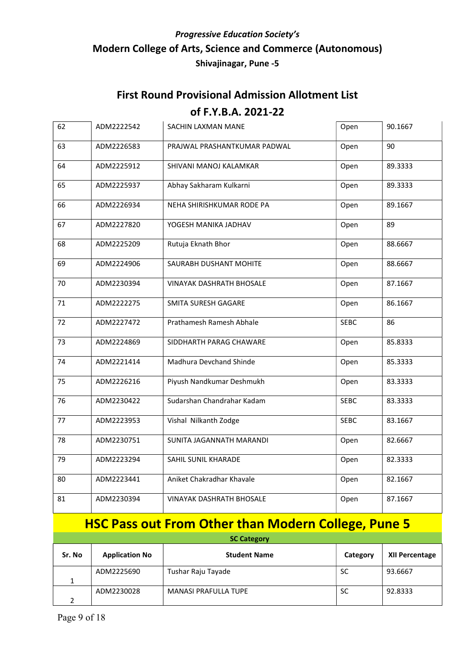## First Round Provisional Admission Allotment List of F.Y.B.A. 2021-22

| 62 | ADM2222542 | SACHIN LAXMAN MANE              | Open        | 90.1667 |
|----|------------|---------------------------------|-------------|---------|
| 63 | ADM2226583 | PRAJWAL PRASHANTKUMAR PADWAL    | Open        | 90      |
| 64 | ADM2225912 | SHIVANI MANOJ KALAMKAR          | Open        | 89.3333 |
| 65 | ADM2225937 | Abhay Sakharam Kulkarni         | Open        | 89.3333 |
| 66 | ADM2226934 | NEHA SHIRISHKUMAR RODE PA       | Open        | 89.1667 |
| 67 | ADM2227820 | YOGESH MANIKA JADHAV            | Open        | 89      |
| 68 | ADM2225209 | Rutuja Eknath Bhor              | Open        | 88.6667 |
| 69 | ADM2224906 | SAURABH DUSHANT MOHITE          | Open        | 88.6667 |
| 70 | ADM2230394 | <b>VINAYAK DASHRATH BHOSALE</b> | Open        | 87.1667 |
| 71 | ADM2222275 | SMITA SURESH GAGARE             | Open        | 86.1667 |
| 72 | ADM2227472 | Prathamesh Ramesh Abhale        | <b>SEBC</b> | 86      |
| 73 | ADM2224869 | SIDDHARTH PARAG CHAWARE         | Open        | 85.8333 |
| 74 | ADM2221414 | Madhura Devchand Shinde         | Open        | 85.3333 |
| 75 | ADM2226216 | Piyush Nandkumar Deshmukh       | Open        | 83.3333 |
| 76 | ADM2230422 | Sudarshan Chandrahar Kadam      | <b>SEBC</b> | 83.3333 |
| 77 | ADM2223953 | Vishal Nilkanth Zodge           | <b>SEBC</b> | 83.1667 |
| 78 | ADM2230751 | SUNITA JAGANNATH MARANDI        | Open        | 82.6667 |
| 79 | ADM2223294 | SAHIL SUNIL KHARADE             | Open        | 82.3333 |
| 80 | ADM2223441 | Aniket Chakradhar Khavale       | Open        | 82.1667 |
| 81 | ADM2230394 | <b>VINAYAK DASHRATH BHOSALE</b> | Open        | 87.1667 |

# HSC Pass out From Other than Modern College, Pune 5

| <b>SC Category</b> |                       |                             |           |                       |
|--------------------|-----------------------|-----------------------------|-----------|-----------------------|
| Sr. No             | <b>Application No</b> | <b>Student Name</b>         | Category  | <b>XII Percentage</b> |
|                    | ADM2225690            | Tushar Raju Tayade          | <b>SC</b> | 93.6667               |
|                    |                       |                             |           |                       |
|                    | ADM2230028            | <b>MANASI PRAFULLA TUPE</b> | <b>SC</b> | 92.8333               |
|                    |                       |                             |           |                       |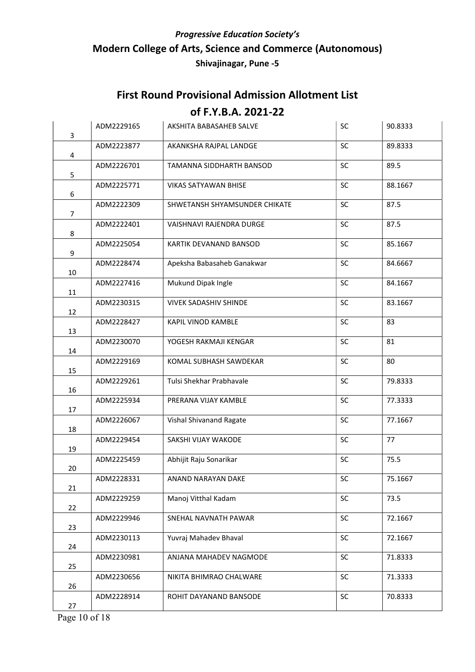#### First Round Provisional Admission Allotment List

| 3              | ADM2229165 | AKSHITA BABASAHEB SALVE         | <b>SC</b> | 90.8333 |
|----------------|------------|---------------------------------|-----------|---------|
| 4              | ADM2223877 | AKANKSHA RAJPAL LANDGE          | SC        | 89.8333 |
| 5              | ADM2226701 | TAMANNA SIDDHARTH BANSOD        | SC        | 89.5    |
| 6              | ADM2225771 | <b>VIKAS SATYAWAN BHISE</b>     | SC        | 88.1667 |
| $\overline{7}$ | ADM2222309 | SHWETANSH SHYAMSUNDER CHIKATE   | SC        | 87.5    |
| 8              | ADM2222401 | <b>VAISHNAVI RAJENDRA DURGE</b> | SC        | 87.5    |
| 9              | ADM2225054 | KARTIK DEVANAND BANSOD          | SC        | 85.1667 |
| 10             | ADM2228474 | Apeksha Babasaheb Ganakwar      | SC        | 84.6667 |
| 11             | ADM2227416 | Mukund Dipak Ingle              | <b>SC</b> | 84.1667 |
| 12             | ADM2230315 | <b>VIVEK SADASHIV SHINDE</b>    | <b>SC</b> | 83.1667 |
| 13             | ADM2228427 | KAPIL VINOD KAMBLE              | <b>SC</b> | 83      |
| 14             | ADM2230070 | YOGESH RAKMAJI KENGAR           | SC        | 81      |
| 15             | ADM2229169 | KOMAL SUBHASH SAWDEKAR          | SC        | 80      |
| 16             | ADM2229261 | Tulsi Shekhar Prabhavale        | SC        | 79.8333 |
| 17             | ADM2225934 | PRERANA VIJAY KAMBLE            | <b>SC</b> | 77.3333 |
| 18             | ADM2226067 | Vishal Shivanand Ragate         | SC        | 77.1667 |
| 19             | ADM2229454 | SAKSHI VIJAY WAKODE             | <b>SC</b> | 77      |
| 20             | ADM2225459 | Abhijit Raju Sonarikar          | SC        | 75.5    |
| 21             | ADM2228331 | ANAND NARAYAN DAKE              | SC        | 75.1667 |
| 22             | ADM2229259 | Manoj Vitthal Kadam             | <b>SC</b> | 73.5    |
| 23             | ADM2229946 | SNEHAL NAVNATH PAWAR            | <b>SC</b> | 72.1667 |
| 24             | ADM2230113 | Yuvraj Mahadev Bhaval           | <b>SC</b> | 72.1667 |
| 25             | ADM2230981 | ANJANA MAHADEV NAGMODE          | <b>SC</b> | 71.8333 |
| 26             | ADM2230656 | NIKITA BHIMRAO CHALWARE         | <b>SC</b> | 71.3333 |
| 27             | ADM2228914 | ROHIT DAYANAND BANSODE          | <b>SC</b> | 70.8333 |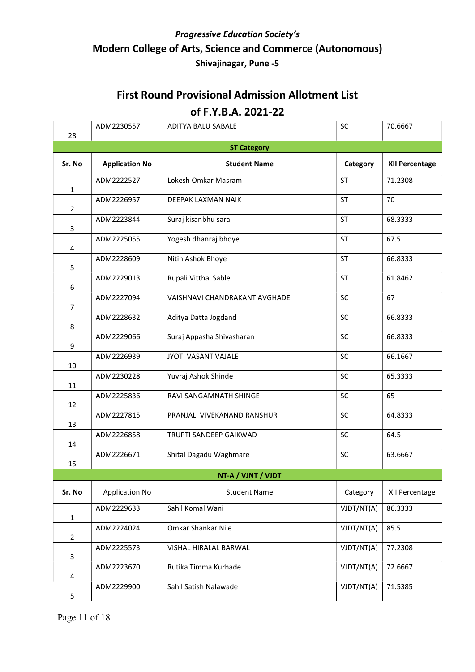# First Round Provisional Admission Allotment List

| 28             | ADM2230557            | ADITYA BALU SABALE            | <b>SC</b>  | 70.6667               |  |  |
|----------------|-----------------------|-------------------------------|------------|-----------------------|--|--|
|                | <b>ST Category</b>    |                               |            |                       |  |  |
| Sr. No         | <b>Application No</b> | <b>Student Name</b>           | Category   | <b>XII Percentage</b> |  |  |
| $\mathbf{1}$   | ADM2222527            | Lokesh Omkar Masram           | ST         | 71.2308               |  |  |
| $\overline{2}$ | ADM2226957            | DEEPAK LAXMAN NAIK            | <b>ST</b>  | 70                    |  |  |
| 3              | ADM2223844            | Suraj kisanbhu sara           | <b>ST</b>  | 68.3333               |  |  |
| 4              | ADM2225055            | Yogesh dhanraj bhoye          | <b>ST</b>  | 67.5                  |  |  |
| 5              | ADM2228609            | Nitin Ashok Bhoye             | <b>ST</b>  | 66.8333               |  |  |
| 6              | ADM2229013            | Rupali Vitthal Sable          | <b>ST</b>  | 61.8462               |  |  |
| $\overline{7}$ | ADM2227094            | VAISHNAVI CHANDRAKANT AVGHADE | SC         | 67                    |  |  |
| 8              | ADM2228632            | Aditya Datta Jogdand          | SC         | 66.8333               |  |  |
| 9              | ADM2229066            | Suraj Appasha Shivasharan     | SC         | 66.8333               |  |  |
| 10             | ADM2226939            | JYOTI VASANT VAJALE           | <b>SC</b>  | 66.1667               |  |  |
| 11             | ADM2230228            | Yuvraj Ashok Shinde           | SC         | 65.3333               |  |  |
| 12             | ADM2225836            | RAVI SANGAMNATH SHINGE        | SC         | 65                    |  |  |
| 13             | ADM2227815            | PRANJALI VIVEKANAND RANSHUR   | SC         | 64.8333               |  |  |
| 14             | ADM2226858            | TRUPTI SANDEEP GAIKWAD        | SC         | 64.5                  |  |  |
| 15             | ADM2226671            | Shital Dagadu Waghmare        | <b>SC</b>  | 63.6667               |  |  |
|                | NT-A / VJNT / VJDT    |                               |            |                       |  |  |
| Sr. No         | <b>Application No</b> | <b>Student Name</b>           | Category   | XII Percentage        |  |  |
| $\mathbf{1}$   | ADM2229633            | Sahil Komal Wani              | VJDT/NT(A) | 86.3333               |  |  |
| $\overline{2}$ | ADM2224024            | Omkar Shankar Nile            | VJDT/NT(A) | 85.5                  |  |  |
| 3              | ADM2225573            | VISHAL HIRALAL BARWAL         | VJDT/NT(A) | 77.2308               |  |  |
| 4              | ADM2223670            | Rutika Timma Kurhade          | VJDT/NT(A) | 72.6667               |  |  |
| 5              | ADM2229900            | Sahil Satish Nalawade         | VJDT/NT(A) | 71.5385               |  |  |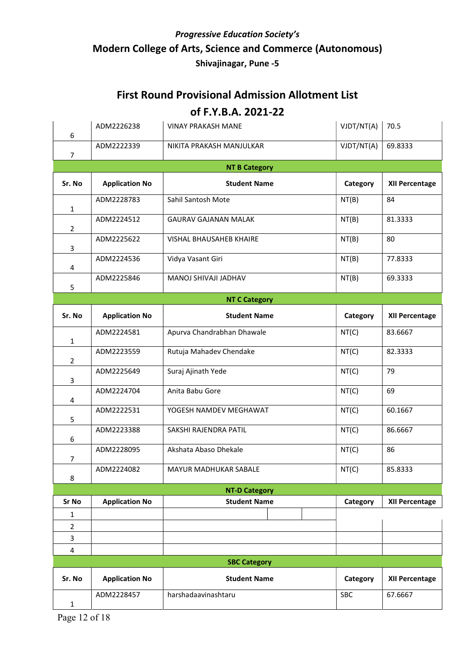#### First Round Provisional Admission Allotment List

| 6                   | ADM2226238            | <b>VINAY PRAKASH MANE</b>   | VJDT/NT(A) | 70.5                  |  |  |  |
|---------------------|-----------------------|-----------------------------|------------|-----------------------|--|--|--|
| $\overline{7}$      | ADM2222339            | NIKITA PRAKASH MANJULKAR    | VJDT/NT(A) | 69.8333               |  |  |  |
|                     | <b>NT B Category</b>  |                             |            |                       |  |  |  |
| Sr. No              | <b>Application No</b> | <b>Student Name</b>         | Category   | <b>XII Percentage</b> |  |  |  |
| $\mathbf{1}$        | ADM2228783            | Sahil Santosh Mote          | NT(B)      | 84                    |  |  |  |
| $\overline{2}$      | ADM2224512            | <b>GAURAV GAJANAN MALAK</b> | NT(B)      | 81.3333               |  |  |  |
| 3                   | ADM2225622            | VISHAL BHAUSAHEB KHAIRE     | NT(B)      | 80                    |  |  |  |
| 4                   | ADM2224536            | Vidya Vasant Giri           | NT(B)      | 77.8333               |  |  |  |
| 5                   | ADM2225846            | MANOJ SHIVAJI JADHAV        | NT(B)      | 69.3333               |  |  |  |
|                     |                       | <b>NT C Category</b>        |            |                       |  |  |  |
| Sr. No              | <b>Application No</b> | <b>Student Name</b>         | Category   | XII Percentage        |  |  |  |
| $\mathbf{1}$        | ADM2224581            | Apurva Chandrabhan Dhawale  | NT(C)      | 83.6667               |  |  |  |
| $\overline{2}$      | ADM2223559            | Rutuja Mahadev Chendake     | NT(C)      | 82.3333               |  |  |  |
| 3                   | ADM2225649            | Suraj Ajinath Yede          | NT(C)      | 79                    |  |  |  |
| 4                   | ADM2224704            | Anita Babu Gore             | NT(C)      | 69                    |  |  |  |
| 5                   | ADM2222531            | YOGESH NAMDEV MEGHAWAT      | NT(C)      | 60.1667               |  |  |  |
| 6                   | ADM2223388            | SAKSHI RAJENDRA PATIL       | NT(C)      | 86.6667               |  |  |  |
| $\overline{7}$      | ADM2228095            | Akshata Abaso Dhekale       | NT(C)      | 86                    |  |  |  |
| 8                   | ADM2224082            | MAYUR MADHUKAR SABALE       | NT(C)      | 85.8333               |  |  |  |
|                     |                       | <b>NT-D Category</b>        |            |                       |  |  |  |
| Sr No               | <b>Application No</b> | <b>Student Name</b>         | Category   | <b>XII Percentage</b> |  |  |  |
| 1<br>$\overline{2}$ |                       |                             |            |                       |  |  |  |
| 3                   |                       |                             |            |                       |  |  |  |
| 4                   |                       |                             |            |                       |  |  |  |
|                     |                       | <b>SBC Category</b>         |            |                       |  |  |  |
| Sr. No              | <b>Application No</b> | <b>Student Name</b>         | Category   | XII Percentage        |  |  |  |
| $\mathbf{1}$        | ADM2228457            | harshadaavinashtaru         | SBC        | 67.6667               |  |  |  |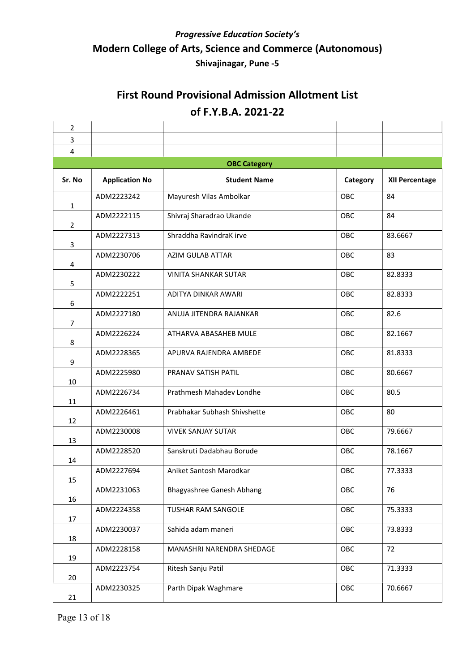| $\overline{2}$ |                       |                              |            |                       |  |  |
|----------------|-----------------------|------------------------------|------------|-----------------------|--|--|
| 3              |                       |                              |            |                       |  |  |
| $\overline{4}$ |                       |                              |            |                       |  |  |
|                | <b>OBC Category</b>   |                              |            |                       |  |  |
| Sr. No         | <b>Application No</b> | <b>Student Name</b>          | Category   | <b>XII Percentage</b> |  |  |
| $\mathbf{1}$   | ADM2223242            | Mayuresh Vilas Ambolkar      | OBC        | 84                    |  |  |
| $\overline{2}$ | ADM2222115            | Shivraj Sharadrao Ukande     | OBC        | 84                    |  |  |
| 3              | ADM2227313            | Shraddha RavindraK irve      | OBC        | 83.6667               |  |  |
| 4              | ADM2230706            | <b>AZIM GULAB ATTAR</b>      | OBC        | 83                    |  |  |
| 5              | ADM2230222            | <b>VINITA SHANKAR SUTAR</b>  | OBC        | 82.8333               |  |  |
| 6              | ADM2222251            | ADITYA DINKAR AWARI          | OBC        | 82.8333               |  |  |
| $\overline{7}$ | ADM2227180            | ANUJA JITENDRA RAJANKAR      | OBC        | 82.6                  |  |  |
| 8              | ADM2226224            | ATHARVA ABASAHEB MULE        | OBC        | 82.1667               |  |  |
| 9              | ADM2228365            | APURVA RAJENDRA AMBEDE       | OBC        | 81.8333               |  |  |
| 10             | ADM2225980            | PRANAV SATISH PATIL          | OBC        | 80.6667               |  |  |
| 11             | ADM2226734            | Prathmesh Mahadev Londhe     | OBC        | 80.5                  |  |  |
| 12             | ADM2226461            | Prabhakar Subhash Shivshette | OBC        | 80                    |  |  |
| 13             | ADM2230008            | <b>VIVEK SANJAY SUTAR</b>    | OBC        | 79.6667               |  |  |
| 14             | ADM2228520            | Sanskruti Dadabhau Borude    | OBC        | 78.1667               |  |  |
| 15             | ADM2227694            | Aniket Santosh Marodkar      | <b>OBC</b> | 77.3333               |  |  |
| 16             | ADM2231063            | Bhagyashree Ganesh Abhang    | OBC        | 76                    |  |  |
| 17             | ADM2224358            | TUSHAR RAM SANGOLE           | OBC        | 75.3333               |  |  |
| 18             | ADM2230037            | Sahida adam maneri           | OBC        | 73.8333               |  |  |
| 19             | ADM2228158            | MANASHRI NARENDRA SHEDAGE    | OBC        | 72                    |  |  |
| 20             | ADM2223754            | Ritesh Sanju Patil           | OBC        | 71.3333               |  |  |
| 21             | ADM2230325            | Parth Dipak Waghmare         | OBC        | 70.6667               |  |  |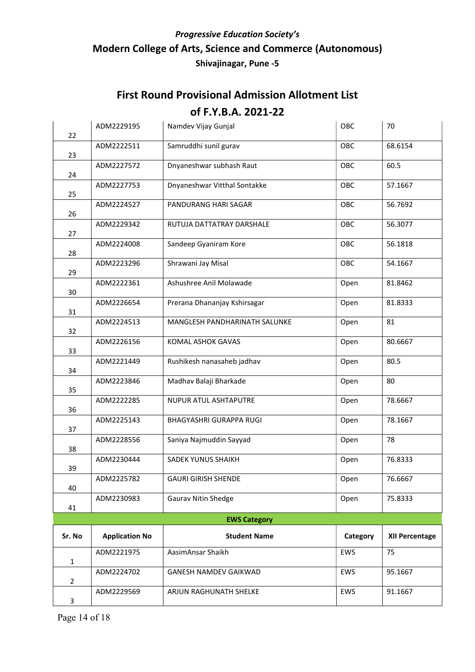| 22             | ADM2229195            | Namdev Vijay Gunjal           | OBC      | 70                    |  |  |
|----------------|-----------------------|-------------------------------|----------|-----------------------|--|--|
| 23             | ADM2222511            | Samruddhi sunil gurav         | OBC      | 68.6154               |  |  |
| 24             | ADM2227572            | Dnyaneshwar subhash Raut      | OBC      | 60.5                  |  |  |
| 25             | ADM2227753            | Dnyaneshwar Vitthal Sontakke  | OBC      | 57.1667               |  |  |
| 26             | ADM2224527            | PANDURANG HARI SAGAR          | OBC      | 56.7692               |  |  |
| 27             | ADM2229342            | RUTUJA DATTATRAY DARSHALE     | OBC      | 56.3077               |  |  |
| 28             | ADM2224008            | Sandeep Gyaniram Kore         | OBC      | 56.1818               |  |  |
| 29             | ADM2223296            | Shrawani Jay Misal            | OBC      | 54.1667               |  |  |
| 30             | ADM2222361            | Ashushree Anil Molawade       | Open     | 81.8462               |  |  |
| 31             | ADM2226654            | Prerana Dhananjay Kshirsagar  | Open     | 81.8333               |  |  |
| 32             | ADM2224513            | MANGLESH PANDHARINATH SALUNKE | Open     | 81                    |  |  |
| 33             | ADM2226156            | KOMAL ASHOK GAVAS             | Open     | 80.6667               |  |  |
| 34             | ADM2221449            | Rushikesh nanasaheb jadhav    | Open     | 80.5                  |  |  |
| 35             | ADM2223846            | Madhav Balaji Bharkade        | Open     | 80                    |  |  |
| 36             | ADM2222285            | NUPUR ATUL ASHTAPUTRE         | Open     | 78.6667               |  |  |
| 37             | ADM2225143            | BHAGYASHRI GURAPPA RUGI       | Open     | 78.1667               |  |  |
| 38             | ADM2228556            | Saniya Najmuddin Sayyad       | Open     | 78                    |  |  |
| 39             | ADM2230444            | SADEK YUNUS SHAIKH            | Open     | 76.8333               |  |  |
| 40             | ADM2225782            | <b>GAURI GIRISH SHENDE</b>    | Open     | 76.6667               |  |  |
| 41             | ADM2230983            | <b>Gaurav Nitin Shedge</b>    | Open     | 75.8333               |  |  |
|                | <b>EWS Category</b>   |                               |          |                       |  |  |
| Sr. No         | <b>Application No</b> | <b>Student Name</b>           | Category | <b>XII Percentage</b> |  |  |
| $\mathbf{1}$   | ADM2221975            | AasimAnsar Shaikh             | EWS      | 75                    |  |  |
| $\overline{2}$ | ADM2224702            | GANESH NAMDEV GAIKWAD         | EWS      | 95.1667               |  |  |
| 3              | ADM2229569            | ARJUN RAGHUNATH SHELKE        | EWS      | 91.1667               |  |  |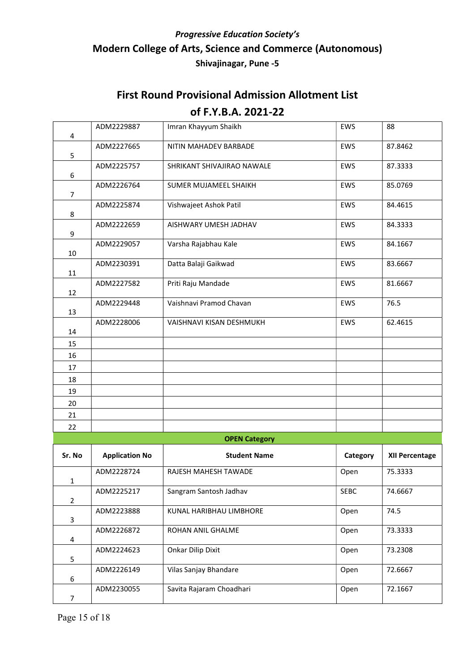| 4              | ADM2229887            | Imran Khayyum Shaikh       | EWS        | 88                    |
|----------------|-----------------------|----------------------------|------------|-----------------------|
|                | ADM2227665            | NITIN MAHADEV BARBADE      | EWS        | 87.8462               |
| 5              | ADM2225757            | SHRIKANT SHIVAJIRAO NAWALE | <b>EWS</b> | 87.3333               |
| 6              |                       |                            |            |                       |
| 7              | ADM2226764            | SUMER MUJAMEEL SHAIKH      | EWS        | 85.0769               |
| 8              | ADM2225874            | Vishwajeet Ashok Patil     | EWS        | 84.4615               |
| 9              | ADM2222659            | AISHWARY UMESH JADHAV      | <b>EWS</b> | 84.3333               |
| 10             | ADM2229057            | Varsha Rajabhau Kale       | EWS        | 84.1667               |
| 11             | ADM2230391            | Datta Balaji Gaikwad       | EWS        | 83.6667               |
| 12             | ADM2227582            | Priti Raju Mandade         | EWS        | 81.6667               |
| 13             | ADM2229448            | Vaishnavi Pramod Chavan    | EWS        | 76.5                  |
| 14             | ADM2228006            | VAISHNAVI KISAN DESHMUKH   | <b>EWS</b> | 62.4615               |
| 15             |                       |                            |            |                       |
| 16             |                       |                            |            |                       |
| 17             |                       |                            |            |                       |
| 18             |                       |                            |            |                       |
| 19             |                       |                            |            |                       |
| 20             |                       |                            |            |                       |
| 21             |                       |                            |            |                       |
| 22             |                       |                            |            |                       |
|                |                       | <b>OPEN Category</b>       |            |                       |
| Sr. No         | <b>Application No</b> | <b>Student Name</b>        | Category   | <b>XII Percentage</b> |
| $\mathbf{1}$   | ADM2228724            | RAJESH MAHESH TAWADE       | Open       | 75.3333               |
| $\overline{2}$ | ADM2225217            | Sangram Santosh Jadhav     | SEBC       | 74.6667               |
| 3              | ADM2223888            | KUNAL HARIBHAU LIMBHORE    | Open       | 74.5                  |
| 4              | ADM2226872            | ROHAN ANIL GHALME          | Open       | 73.3333               |
| 5              | ADM2224623            | Onkar Dilip Dixit          | Open       | 73.2308               |
| 6              | ADM2226149            | Vilas Sanjay Bhandare      | Open       | 72.6667               |
| $\overline{7}$ | ADM2230055            | Savita Rajaram Choadhari   | Open       | 72.1667               |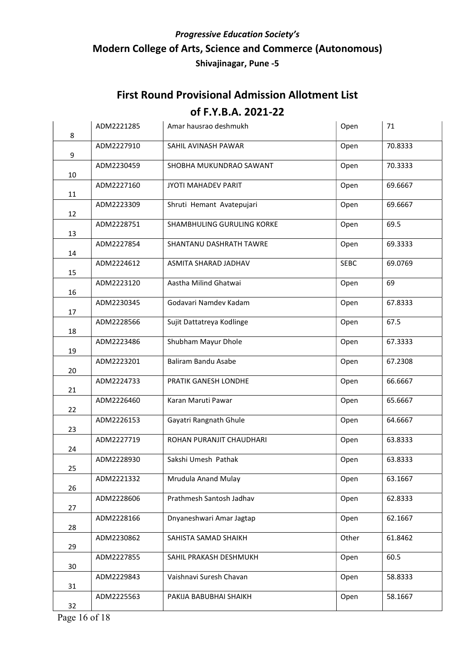| 8  | ADM2221285 | Amar hausrao deshmukh      | Open  | 71      |
|----|------------|----------------------------|-------|---------|
| 9  | ADM2227910 | SAHIL AVINASH PAWAR        | Open  | 70.8333 |
| 10 | ADM2230459 | SHOBHA MUKUNDRAO SAWANT    | Open  | 70.3333 |
| 11 | ADM2227160 | JYOTI MAHADEV PARIT        | Open  | 69.6667 |
| 12 | ADM2223309 | Shruti Hemant Avatepujari  | Open  | 69.6667 |
| 13 | ADM2228751 | SHAMBHULING GURULING KORKE | Open  | 69.5    |
| 14 | ADM2227854 | SHANTANU DASHRATH TAWRE    | Open  | 69.3333 |
| 15 | ADM2224612 | ASMITA SHARAD JADHAV       | SEBC  | 69.0769 |
| 16 | ADM2223120 | Aastha Milind Ghatwai      | Open  | 69      |
| 17 | ADM2230345 | Godavari Namdev Kadam      | Open  | 67.8333 |
| 18 | ADM2228566 | Sujit Dattatreya Kodlinge  | Open  | 67.5    |
| 19 | ADM2223486 | Shubham Mayur Dhole        | Open  | 67.3333 |
| 20 | ADM2223201 | Baliram Bandu Asabe        | Open  | 67.2308 |
| 21 | ADM2224733 | PRATIK GANESH LONDHE       | Open  | 66.6667 |
| 22 | ADM2226460 | Karan Maruti Pawar         | Open  | 65.6667 |
| 23 | ADM2226153 | Gayatri Rangnath Ghule     | Open  | 64.6667 |
| 24 | ADM2227719 | ROHAN PURANJIT CHAUDHARI   | Open  | 63.8333 |
| 25 | ADM2228930 | Sakshi Umesh Pathak        | Open  | 63.8333 |
| 26 | ADM2221332 | Mrudula Anand Mulay        | Open  | 63.1667 |
| 27 | ADM2228606 | Prathmesh Santosh Jadhav   | Open  | 62.8333 |
| 28 | ADM2228166 | Dnyaneshwari Amar Jagtap   | Open  | 62.1667 |
| 29 | ADM2230862 | SAHISTA SAMAD SHAIKH       | Other | 61.8462 |
| 30 | ADM2227855 | SAHIL PRAKASH DESHMUKH     | Open  | 60.5    |
| 31 | ADM2229843 | Vaishnavi Suresh Chavan    | Open  | 58.8333 |
| 32 | ADM2225563 | PAKIJA BABUBHAI SHAIKH     | Open  | 58.1667 |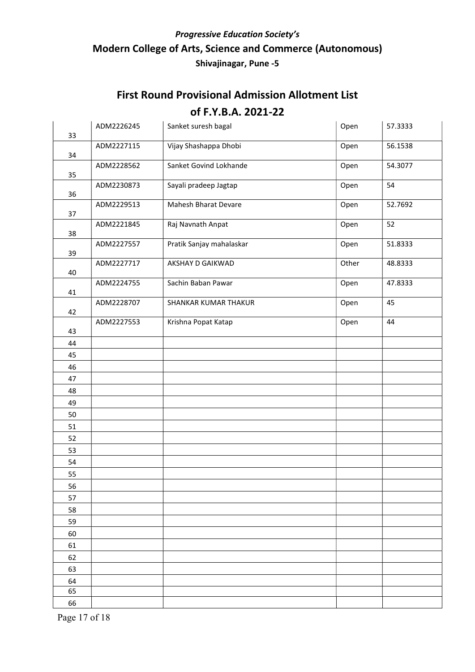# First Round Provisional Admission Allotment List of F.Y.B.A. 2021-22

| 33 | ADM2226245 | Sanket suresh bagal      | Open  | 57.3333 |
|----|------------|--------------------------|-------|---------|
| 34 | ADM2227115 | Vijay Shashappa Dhobi    | Open  | 56.1538 |
| 35 | ADM2228562 | Sanket Govind Lokhande   | Open  | 54.3077 |
| 36 | ADM2230873 | Sayali pradeep Jagtap    | Open  | 54      |
| 37 | ADM2229513 | Mahesh Bharat Devare     | Open  | 52.7692 |
| 38 | ADM2221845 | Raj Navnath Anpat        | Open  | 52      |
| 39 | ADM2227557 | Pratik Sanjay mahalaskar | Open  | 51.8333 |
| 40 | ADM2227717 | <b>AKSHAY D GAIKWAD</b>  | Other | 48.8333 |
| 41 | ADM2224755 | Sachin Baban Pawar       | Open  | 47.8333 |
| 42 | ADM2228707 | SHANKAR KUMAR THAKUR     | Open  | 45      |
| 43 | ADM2227553 | Krishna Popat Katap      | Open  | 44      |
| 44 |            |                          |       |         |
| 45 |            |                          |       |         |
| 46 |            |                          |       |         |
| 47 |            |                          |       |         |
| 48 |            |                          |       |         |
| 49 |            |                          |       |         |
| 50 |            |                          |       |         |
| 51 |            |                          |       |         |
| 52 |            |                          |       |         |
| 53 |            |                          |       |         |
| 54 |            |                          |       |         |
| 55 |            |                          |       |         |
| 56 |            |                          |       |         |
| 57 |            |                          |       |         |
| 58 |            |                          |       |         |
| 59 |            |                          |       |         |
| 60 |            |                          |       |         |
| 61 |            |                          |       |         |
| 62 |            |                          |       |         |
| 63 |            |                          |       |         |
| 64 |            |                          |       |         |
| 65 |            |                          |       |         |
| 66 |            |                          |       |         |

Page 17 of 18